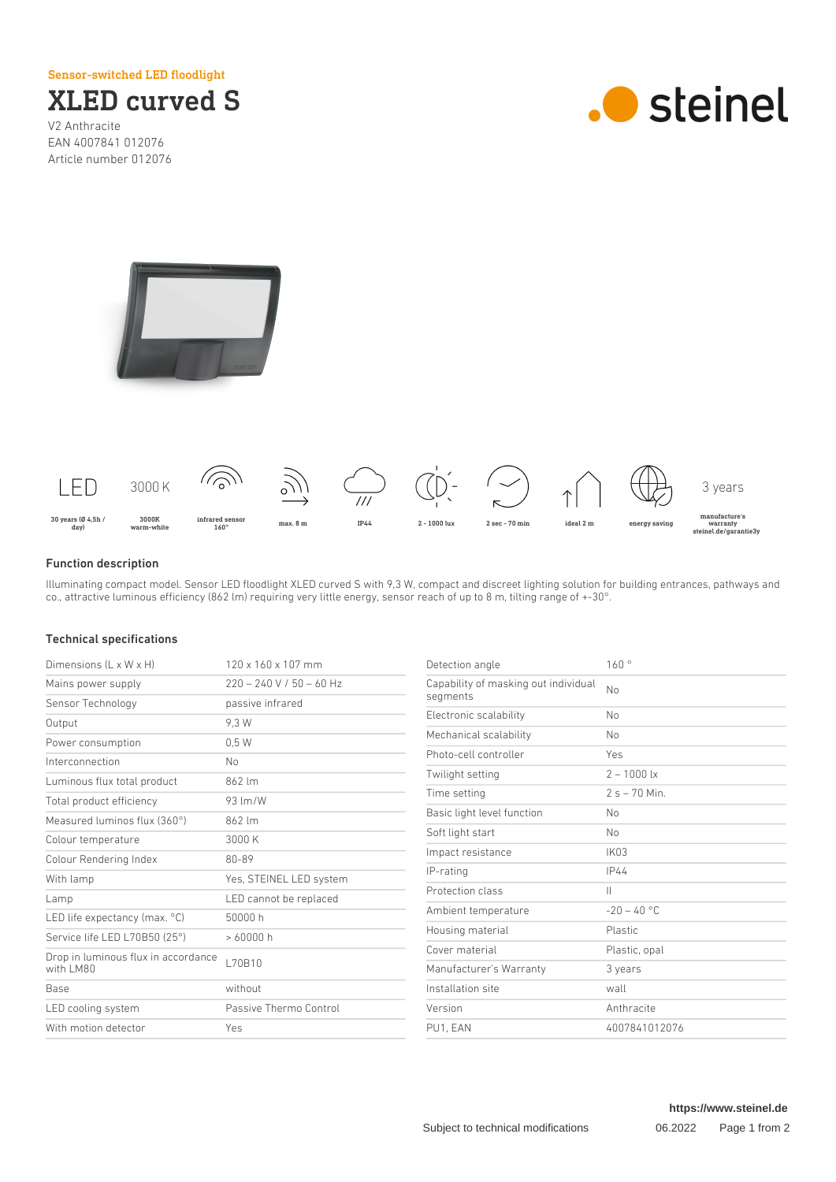Sensor-switched LED floodlight



V2 Anthracite EAN 4007841 012076 Article number 012076







## Function description

Illuminating compact model. Sensor LED floodlight XLED curved S with 9,3 W, compact and discreet lighting solution for building entrances, pathways and co., attractive luminous efficiency (862 lm) requiring very little energy, sensor reach of up to 8 m, tilting range of +-30°.

## Technical specifications

| Dimensions $(L \times W \times H)$               | $120 \times 160 \times 107$ mm | Detection angle                      | 160°             |
|--------------------------------------------------|--------------------------------|--------------------------------------|------------------|
| Mains power supply                               | $220 - 240$ V / 50 - 60 Hz     | Capability of masking out individual | No               |
| Sensor Technology                                | passive infrared               | segments                             |                  |
| Output                                           | 9.3 W                          | Electronic scalability               | <b>No</b>        |
| Power consumption                                | 0.5W                           | Mechanical scalability               | No               |
| Interconnection                                  | N <sub>0</sub>                 | Photo-cell controller                | Yes              |
| Luminous flux total product                      | 862 lm                         | Twilight setting                     | $2 - 1000$ lx    |
| Total product efficiency                         | 93 lm/W                        | Time setting                         | $2s - 70$ Min.   |
| Measured luminos flux (360°)                     | 862 lm                         | Basic light level function           | No               |
| Colour temperature                               | 3000 K                         | Soft light start                     | <b>No</b>        |
| Colour Rendering Index                           | 80-89                          | Impact resistance                    | IK <sub>03</sub> |
| With lamp                                        | Yes, STEINEL LED system        | IP-rating                            | IP44             |
|                                                  |                                | Protection class                     | $\mathbb{H}$     |
| Lamp                                             | LED cannot be replaced         | Ambient temperature                  | $-20 - 40$ °C    |
| LED life expectancy (max. °C)                    | 50000h                         | Housing material                     | Plastic          |
| Service life LED L70B50 (25°)                    | >60000h<br>L70B10              | Cover material                       | Plastic, opal    |
| Drop in luminous flux in accordance<br>with LM80 |                                | Manufacturer's Warranty              | 3 years          |
| Base                                             | without                        | Installation site                    | wall             |
| LED cooling system                               | Passive Thermo Control         | Version                              | Anthracite       |
| With motion detector                             | Yes                            | PU1, EAN                             | 4007841012076    |